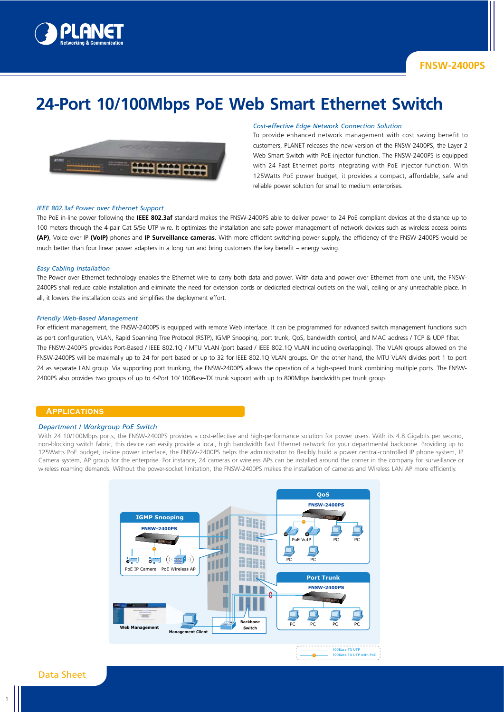

# **24-Port 10/100Mbps PoE Web Smart Ethernet Switch**



#### *Cost-effective Edge Network Connection Solution*

To provide enhanced network management with cost saving benefit to customers, PLANET releases the new version of the FNSW-2400PS, the Layer 2 Web Smart Switch with PoE injector function. The FNSW-2400PS is equipped with 24 Fast Ethernet ports integrating with PoE injector function. With 125Watts PoE power budget, it provides a compact, affordable, safe and reliable power solution for small to medium enterprises.

#### *IEEE 802.3af Power over Ethernet Support*

The PoE in-line power following the **IEEE 802.3af** standard makes the FNSW-2400PS able to deliver power to 24 PoE compliant devices at the distance up to 100 meters through the 4-pair Cat 5/5e UTP wire. It optimizes the installation and safe power management of network devices such as wireless access points **(AP)**, Voice over IP **(VoIP)** phones and **IP Surveillance cameras**. With more efficient switching power supply, the efficiency of the FNSW-2400PS would be much better than four linear power adapters in a long run and bring customers the key benefit – energy saving.

#### *Easy Cabling Installation*

The Power over Ethernet technology enables the Ethernet wire to carry both data and power. With data and power over Ethernet from one unit, the FNSW-2400PS shall reduce cable installation and eliminate the need for extension cords or dedicated electrical outlets on the wall, ceiling or any unreachable place. In all, it lowers the installation costs and simplifies the deployment effort.

#### *Friendly Web-Based Management*

For efficient management, the FNSW-2400PS is equipped with remote Web interface. It can be programmed for advanced switch management functions such as port configuration, VLAN, Rapid Spanning Tree Protocol (RSTP), IGMP Snooping, port trunk, QoS, bandwidth control, and MAC address / TCP & UDP filter. The FNSW-2400PS provides Port-Based / IEEE 802.1Q / MTU VLAN (port based / IEEE 802.1Q VLAN including overlapping). The VLAN groups allowed on the FNSW-2400PS will be maximally up to 24 for port based or up to 32 for IEEE 802.1Q VLAN groups. On the other hand, the MTU VLAN divides port 1 to port 24 as separate LAN group. Via supporting port trunking, the FNSW-2400PS allows the operation of a high-speed trunk combining multiple ports. The FNSW-2400PS also provides two groups of up to 4-Port 10/ 100Base-TX trunk support with up to 800Mbps bandwidth per trunk group.

## **Applications**

#### *Department / Workgroup PoE Switch*

With 24 10/100Mbps ports, the FNSW-2400PS provides a cost-effective and high-performance solution for power users. With its 4.8 Gigabits per second, non-blocking switch fabric, this device can easily provide a local, high bandwidth Fast Ethernet network for your departmental backbone. Providing up to 125Watts PoE budget, in-line power interface, the FNSW-2400PS helps the administrator to flexibly build a power central-controlled IP phone system, IP Camera system, AP group for the enterprise. For instance, 24 cameras or wireless APs can be installed around the corner in the company for surveillance or wireless roaming demands. Without the power-socket limitation, the FNSW-2400PS makes the installation of cameras and Wireless LAN AP more efficiently.



100Base-TX UTP PoE 100Base-TX UTP with PoE

1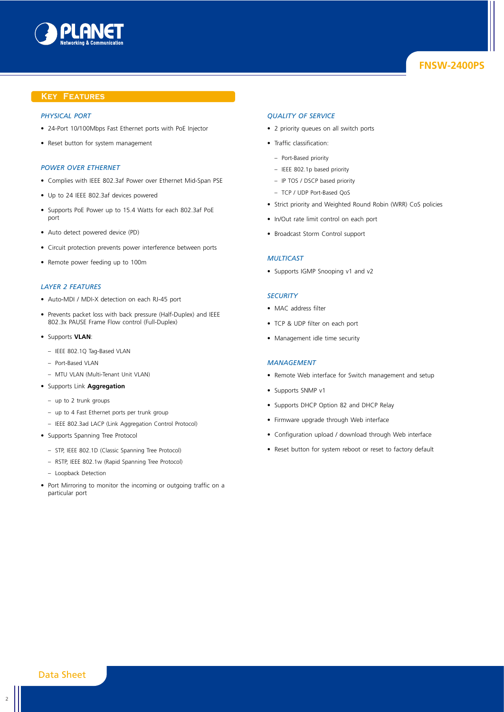

## **Key Features**

## *Physical Port*

- 24-Port 10/100Mbps Fast Ethernet ports with PoE Injector
- Reset button for system management

#### *Power over Ethernet*

- Complies with IEEE 802.3af Power over Ethernet Mid-Span PSE
- Up to 24 IEEE 802.3af devices powered
- Supports PoE Power up to 15.4 Watts for each 802.3af PoE port
- Auto detect powered device (PD)
- Circuit protection prevents power interference between ports
- Remote power feeding up to 100m

#### *Layer 2 Features*

- Auto-MDI / MDI-X detection on each RJ-45 port
- Prevents packet loss with back pressure (Half-Duplex) and IEEE 802.3x PAUSE Frame Flow control (Full-Duplex)
- Supports **VLAN**:
	- IEEE 802.1Q Tag-Based VLAN
	- Port-Based VLAN
	- MTU VLAN (Multi-Tenant Unit VLAN)
- Supports Link **Aggregation**
	- up to 2 trunk groups
	- up to 4 Fast Ethernet ports per trunk group
	- IEEE 802.3ad LACP (Link Aggregation Control Protocol)
- Supports Spanning Tree Protocol
	- STP, IEEE 802.1D (Classic Spanning Tree Protocol)
	- RSTP, IEEE 802.1w (Rapid Spanning Tree Protocol)
	- Loopback Detection
- Port Mirroring to monitor the incoming or outgoing traffic on a particular port

#### *Quality of Service*

- 2 priority queues on all switch ports
- Traffic classification:
	- Port-Based priority
	- IEEE 802.1p based priority
	- IP TOS / DSCP based priority
	- TCP / UDP Port-Based QoS
- Strict priority and Weighted Round Robin (WRR) CoS policies
- In/Out rate limit control on each port
- Broadcast Storm Control support

#### *Multicast*

• Supports IGMP Snooping v1 and v2

### *Security*

- MAC address filter
- TCP & UDP filter on each port
- Management idle time security

#### *Management*

- Remote Web interface for Switch management and setup
- Supports SNMP v1
- Supports DHCP Option 82 and DHCP Relay
- Firmware upgrade through Web interface
- Configuration upload / download through Web interface
- Reset button for system reboot or reset to factory default